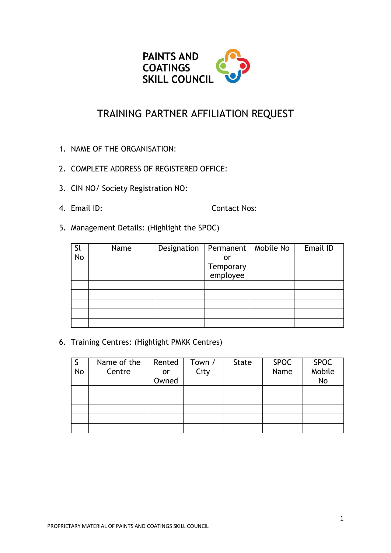

## TRAINING PARTNER AFFILIATION REQUEST

- 1. NAME OF THE ORGANISATION:
- 2. COMPLETE ADDRESS OF REGISTERED OFFICE:
- 3. CIN NO/ Society Registration NO:
- 

4. Email ID: Contact Nos:

5. Management Details: (Highlight the SPOC)

| <b>Sl</b> | Name | Designation | Permanent             | Mobile No | Email ID |
|-----------|------|-------------|-----------------------|-----------|----------|
| <b>No</b> |      |             | or                    |           |          |
|           |      |             | Temporary<br>employee |           |          |
|           |      |             |                       |           |          |
|           |      |             |                       |           |          |
|           |      |             |                       |           |          |
|           |      |             |                       |           |          |
|           |      |             |                       |           |          |
|           |      |             |                       |           |          |

6. Training Centres: (Highlight PMKK Centres)

| No | Name of the<br>Centre | Rented<br>or<br>Owned | Town /<br>City | <b>State</b> | <b>SPOC</b><br>Name | <b>SPOC</b><br>Mobile<br><b>No</b> |
|----|-----------------------|-----------------------|----------------|--------------|---------------------|------------------------------------|
|    |                       |                       |                |              |                     |                                    |
|    |                       |                       |                |              |                     |                                    |
|    |                       |                       |                |              |                     |                                    |
|    |                       |                       |                |              |                     |                                    |
|    |                       |                       |                |              |                     |                                    |